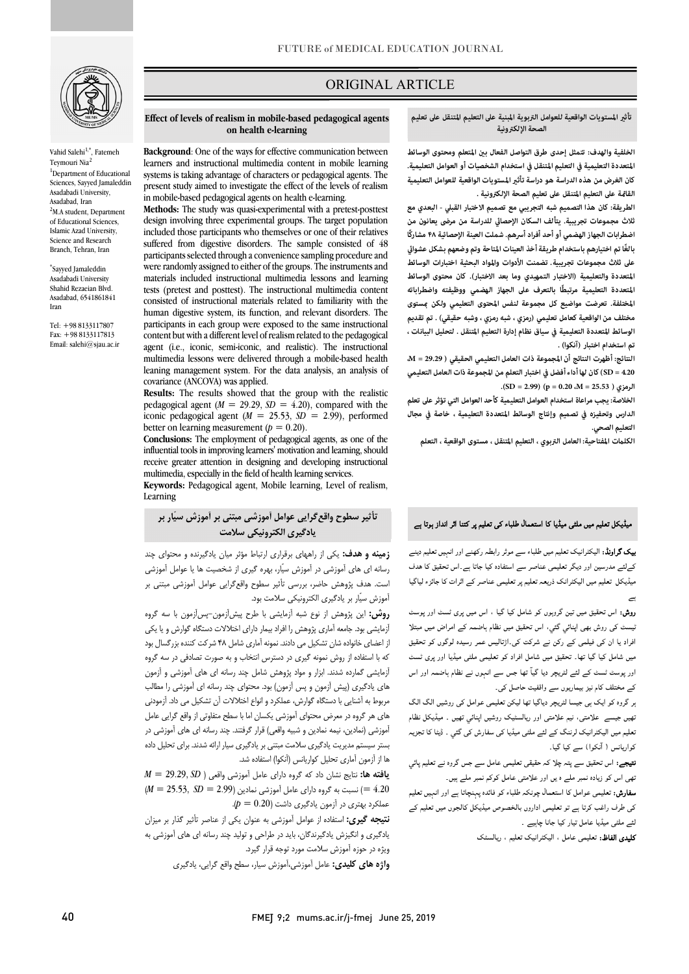

Vahid Salehi<sup>1,\*</sup>, Fatemeh Teymouri Nia<sup>2</sup> <sup>1</sup>Department of Educational Sciences, Sayyed Jamaleddin Asadabadi University, Asadabad, Iran 2 <sup>2</sup>M.A student, Department of Educational Sciences, Islamic Azad University, Science and Research Branch, Tehran, Iran

\* Sayyed Jamaleddin Asadabadi University Shahid Rezaeian Blvd. Asadabad, 6541861841 Iran

Tel: +98 8133117807 Fax: +98 8133117813 Email: salehi@sjau.ac.ir

# ORIGINAL ARTICLE

تأثير المستويات الواقعية للعوامل التربوية المبنية على التعليم المتنقل على تعليم<br>المستويات المتنبية **الصحة الإلكترونية**

ص

الخلفية والهدف: تتمثل إحدى طرق التواصل الفعال بين المتعلم ومحتوى الوسائط<br>. **كان الغرض من هذه الدراسة هو دراسة تأث المستويات الواقعية للعوامل التعليمية القاة على التعليم المتنقل على تعليم الصحة الإلكترونية . المتعددة التعليمية في التعليم المتنقل في استخدام الشخصيات أو العوامل التعليمية.** 

 **الطريقة: كان هذا التصميم شبه التجريبي مع تصميم الاختبار القبلي - البعدي مع**  ثلاث مجموعات تجريبية. يتألف السكان الإحصائي للدراسة من مرضى يعانون من **اضطرابات الجهاز الهضمي أو أحد أفراد أسرهم. شملت العينة الإحصائية ۴۸ مشاركًا على ثلاث مجموعات تجريبية. تضمنت الأدوات والمواد البحثية اختبارات الوسائط المتعددة والتعليمية (الاختبار التمهيدي وما بعد الاختبار). كان محتوى الوسائط المتعددة التعليمية مرتبطًا بالتعرف على الجهاز الهضمي ووظيفته واضطراباته المختلفة. تعرضت مواضيع كل مجموعة لنفس المحتوى التعليمي ولكن ستوى مختلف من الواقعية كعامل تعليمي (رمزي ، شبه رمزي ، وشبه حقيقي) . تم تقديم تم استخدام اختبار (آنكوا) . ً بالغا تم اختيارهم باستخدام طريقة أخذ العينات المتاحة وتم وضعهم بشكل عشوا الوسائط المتعددة التعليمية في سياق نظام إدارة التعليم المتنقل . لتحليل البيانات ،** 

 **النتائج: أظهرت النتائج أن المجموعة ذات العامل التعليمي الحقيقي ( 29.29 = M، 4.20 = SD (كان لها أداء أفضل في اختبار التعلم من المجموعة ذات العامل التعليمي .(SD = 2.99) (p = 0.20 ،M = 25.53 ) الرمزي**

 **الدارس وتحفيزه في تصميم وإنتاج الوسائط المتعددة التعليمية ، خاصة في مجال الخلاصة: يجب مراعاة استخدام العوامل التعليمية كأحد العوامل التي تؤثر على تعلم التعليم الصحي.**

**الكلت المفتاحية: العامل التربوي ، التعليم المتنقل ، مستوى الواقعية ، التعلم** 

#### میڈیکل تعلیم میں ملٹی میڈیا کا استعمال طلباء کی تعلیم پر کتنا اثر انداز ہوتا ہے

**یک گراونڈ:** الیکٹرانیک تعلیم میں طلباء سے موثر رابطہ رکھنے اور انہیں تعلیم دینے<br>. میڈیکل تعلیم میں الیکٹرانک ذریعہ تعلیم پر تعلیمی عناصر کے اثرات کا جائزء لیاگیا<br>. کےلئے مدرسین اور دیگر تعلیمی عناصر سے استفادہ کیا جاتا ہے۔اس تحقیق کا هدف  $\epsilon$ 

.<br>ر**وش:** اس تحقیق میں تین گروہوں کو شامل کیا گیا ، اس میں پری ٹسٹ اور پوسٹ .<br>لیسٹ کی روش بھی اپنائی گئی، اس تحقیق میں نظام ہاضمہ کے امراض میں مبتلا افراد یا ان کی فیلمی کے رکن نے شرکت کی۔اڑتالیس عمر رسیدہ لوگوں کو تحقیق میں شامل کیا گیا تھا۔ تحقیق میں شامل افراد کو تعلیمی ملٹی میڈیا اور پری ٹسٹ اور پوسٹ ٹسٹ کے لئے لٹریچر دیا گیآ تھا جس سے انہوں نے نظام ہاضمہ اور اس کے مختلف کام نیز بیماریوں سے واقفیت حاصل کی۔

<sub>ب</sub>ر گروہ کو ایک ہی جیسا لٹریچر دیاگیا تھا لیکن تعلیمی عوامل کی روشیں الگ الگ<br>۔ بھيں بيسے حد سي، بيم حد سي .رر رہا مسيد ررسيں بہتي ہيں . سينيس حدم<br>نعليم ميں اليكٹرانيك لرننگ كے لئے ملٹي ميڈيا كي سفارش كي گئي . ڈيٹا كا تجزيہ ۔<br>کواریانس ( آنکوا) سے کیا گیا۔ ۔<br>تھیں جیسے علامتی، نیم علامتی اور ریالسٹیک روشیں اپنائی تھیں ۔ میڈیکل نظام

**تیجے:** اس تحقیق سے پتہ چلا کہ حقیقی تعلیمی عامل سے جس گروہ نے تعلیم پائي ۔<br>نھی اس کو زیادہ نمبر ملے ہ یں اور علامتی عامل کوکم نمبر ملے ہیں۔

**سفارش:** تعلیمی عوامل کا استعمال چونکہ طلباء کو فائدہ پہنچاتا ہے اور انہیں تعلیم کی طرف راغب کرتا ہے تو تعلیمی اداروں بالخصوص میڈیکل کالجوں میں تعلیم کے لئے ملٹی میڈیا عامل تیار کیا جانا چاہیے ۔

**کلیدی الفاظ:** تعلیمی عامل ، الیکٹرانیک تعلیم ، ریالسٹک

#### **Effect of levels of realism in mobile-based pedagogical agents on health e-learning**

Ī

**Background:** One of the ways for enective communication between<br>learners and instructional multimedia content in mobile learning systems is taking advantage of characters or pedagogical agents. The present study aimed to investigate the effect of the levels of realism **Background**: One of the ways for effective communication between in mobile-based pedagogical agents on health e-learning.

 **Methods:** The study was quasi-experimental with a pretest-posttest design involving three experimental groups. The target population suffered from digestive disorders. The sample consisted of 48 participants selected through a convenience sampling procedure and materials included instructional multimedia lessons and learning tests (pretest and posttest). The instructional multimedia content human digestive system, its function, and relevant disorders. The participants in each group were exposed to the same instructional content but with a different level of realism related to the pedagogical multimedia lessons were delivered through a mobile-based health leaning management system. For the data analysis, an analysis of included those participants who themselves or one of their relatives were randomly assigned to either of the groups. The instruments and consisted of instructional materials related to familiarity with the agent (i.e., iconic, semi-iconic, and realistic). The instructional covariance (ANCOVA) was applied.

 **Results:** The results showed that the group with the realistic pedagogical agent ( $M = 29.29$ ,  $SD = 4.20$ ), compared with the iconic pedagogical agent ( $M = 25.53$ ,  $SD = 2.99$ ), performed<br>better on learning measurement ( $b = 0.20$ ) better on learning measurement  $(p = 0.20)$ .

 **Conclusions:** The employment of pedagogical agents, as one of the receive greater attention in designing and developing instructional multimedia, especially in the field of health learning services. influential tools in improving learners' motivation and learning, should

 **Keywords:** Pedagogical agent, Mobile learning, Level of realism, Learning

# **تأثیر سطوح واقعگرایی عوامل آموزشی مبتنی بر آموزش سیّار بر یادگیري الکترونیکی سلامت**

 **زمینه و هدف:** یکی از راههاي برقراري ارتباط مؤثر میان یادگیرنده و محتواي چند رسانه اي هاي آموزشی در آموزش سیّار، بهره گیري از شخصیت ها یا عوامل آموزشی آموزش سیّار بر یادگیري الکترونیکی سلامت بود. است. هدف پژوهش حاضر، بررسی تأثیر سطوح واقعگرایی عوامل آموزشی مبتنی بر

 **روش:** این پژوهش از نوع شبه آزمایشی با طرح پیشآزمون-پسآزمون با سه گروه آزمایشی بود. جامعه آماري پژوهش را افراد بیمار داراي اختلالات دستگاه گوارش و یا یکی از اعضاي خانواده شان تشکیل می دادند. نمونه آماري شامل 48 شرکت کننده بزرگسال بود که با استفاده از روش نمونه گیري در دسترس انتخاب و به صورت تصادفی در سه گروه آزمایشی گمارده شدند. ابزار و مواد پژوهش شامل چند رسانه اي هاي آموزشی و آزمون هاي یادگیري (پیش آزمون و پس آزمون) بود. محتواي چند رسانه اي آموزشی را مطالب مربوط به آشنایی با دستگاه گوارش، عملکرد و انواع اختلالات آن تشکیل می داد. آزمودنی آموزشی (نمادین، نیمه نمادین و شبیه واقعی) قرار گرفتند. چند رسانه اي هاي آموزشی در بستر سیستم مدیریت یادگیري سلامت مبتنی بر یادگیري سیار ارائه شدند. براي تحلیل داده ها از آزمون آماري تحلیل کواریانس (آنکوا) استفاده شد. هاي هر گروه در معرض محتواي آموزشی یکسان اما با سطح متفاوتی از واقع گرایی عامل

 **یافته ها:** نتایج نشان داد که گروه داراي عامل آموزشی واقعی ( *SD* 29.29, = *M* 4.20 =) نسبت به گروه داراي عامل آموزشی نمادین (2.99 = *SD* 25.53, = *M* ( عملکرد بهتري در آزمون یادگیري داشت (0.20 = *p*(.

 **نتیجه گیري:** استفاده از عوامل آموزشی به عنوان یکی از عناصر تأثیر گذار بر میزان ودیری و احیرس و دیرستان، باید در حراحی و ۰<br>ویژه در حوزه آموزش سلامت مورد توجه قرار گیرد. یادگیري و انگیزش یادگیرندگان، باید در طراحی و تولید چند رسانه اي هاي آموزشی به

**واژه هاي کلیدي:** عامل آموزشی،آموزش سیار، سطح واقع گرایی، یادگیري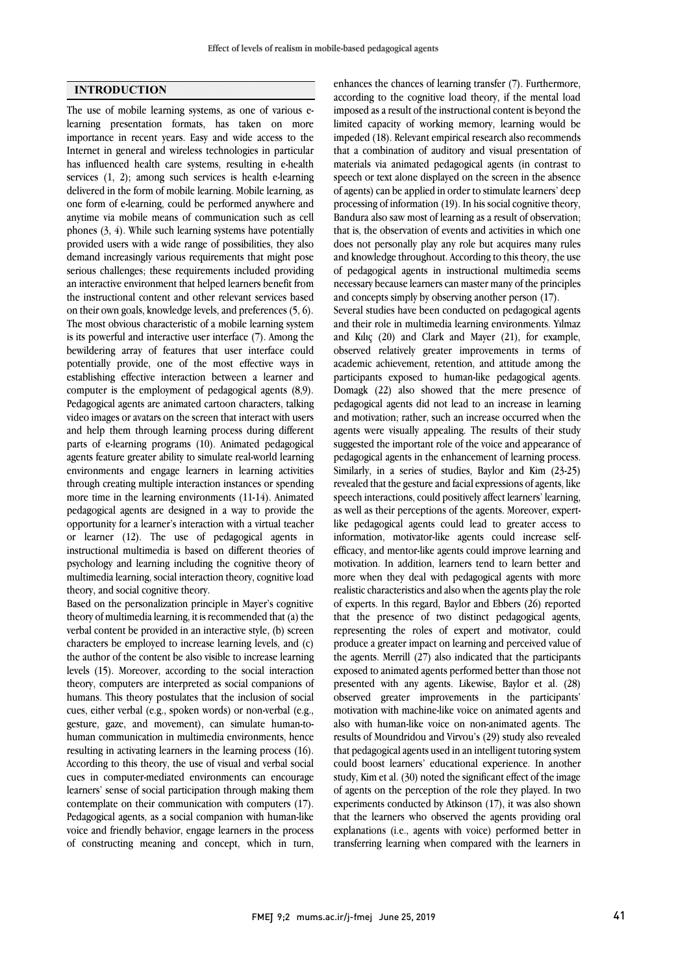### **INTRODUCTION**

The use of mobile learning systems, as one of various elearning presentation formats, has taken on more importance in recent years. Easy and wide access to the Internet in general and wireless technologies in particular has influenced health care systems, resulting in e-health services (1, 2); among such services is health e-learning delivered in the form of mobile learning. Mobile learning, as one form of e-learning, could be performed anywhere and anytime via mobile means of communication such as cell phones (3, 4). While such learning systems have potentially provided users with a wide range of possibilities, they also demand increasingly various requirements that might pose serious challenges; these requirements included providing an interactive environment that helped learners benefit from the instructional content and other relevant services based on their own goals, knowledge levels, and preferences (5, 6). The most obvious characteristic of a mobile learning system is its powerful and interactive user interface (7). Among the bewildering array of features that user interface could potentially provide, one of the most effective ways in establishing effective interaction between a learner and computer is the employment of pedagogical agents (8,9). Pedagogical agents are animated cartoon characters, talking video images or avatars on the screen that interact with users and help them through learning process during different parts of e-learning programs (10). Animated pedagogical agents feature greater ability to simulate real-world learning environments and engage learners in learning activities through creating multiple interaction instances or spending more time in the learning environments (11-14). Animated pedagogical agents are designed in a way to provide the opportunity for a learner's interaction with a virtual teacher or learner (12). The use of pedagogical agents in instructional multimedia is based on different theories of psychology and learning including the cognitive theory of multimedia learning, social interaction theory, cognitive load theory, and social cognitive theory.

Based on the personalization principle in Mayer's cognitive theory of multimedia learning, it is recommended that (a) the verbal content be provided in an interactive style, (b) screen characters be employed to increase learning levels, and (c) the author of the content be also visible to increase learning levels (15). Moreover, according to the social interaction theory, computers are interpreted as social companions of humans. This theory postulates that the inclusion of social cues, either verbal (e.g., spoken words) or non-verbal (e.g., gesture, gaze, and movement), can simulate human-tohuman communication in multimedia environments, hence resulting in activating learners in the learning process (16). According to this theory, the use of visual and verbal social cues in computer-mediated environments can encourage learners' sense of social participation through making them contemplate on their communication with computers (17). Pedagogical agents, as a social companion with human-like voice and friendly behavior, engage learners in the process of constructing meaning and concept, which in turn,

according to the cognitive load theory, if the mental load imposed as a result of the instructional content is beyond the limited capacity of working memory, learning would be impeded (18). Relevant empirical research also recommends materials via animated pedagogical agents (in contrast to speech or text alone displayed on the screen in the absence of agents) can be applied in order to stimulate learners' deep processing of information (19). In his social cognitive theory, that is, the observation of events and activities in which one does not personally play any role but acquires many rules and knowledge throughout. According to this theory, the use of pedagogical agents in instructional multimedia seems and concepts simply by observing another person (17). enhances the chances of learning transfer (7). Furthermore, that a combination of auditory and visual presentation of Bandura also saw most of learning as a result of observation; necessary because learners can master many of the principles

 Several studies have been conducted on pedagogical agents and their role in multimedia learning environments. Yılmaz and Kılıç (20) and Clark and Mayer (21), for example, academic achievement, retention, and attitude among the participants exposed to human-like pedagogical agents. Domagk (22) also showed that the mere presence of pedagogical agents did not lead to an increase in learning and monvation, rather, such an increase occurred when the agents were visually appealing. The results of their study suggested the important role of the voice and appearance of pedagogical agents in the enhancement of learning process. Similarly, in a series of studies, Baylor and Kim (23-25) speech interactions, could positively affect learners' learning, as well as their perceptions of the agents. Moreover, expert- like pedagogical agents could lead to greater access to information, motivator-like agents could increase selfencacy, and memor-me agents come improve rearing and motivation. In addition, learners tend to learn better and more when they deal with pedagogical agents with more realistic characteristics and also when the agents play the role of experts. In this regard, Baylor and Ebbers (26) reported representing the roles of expert and motivator, could produce a greater impact on learning and perceived value of the agents. Merrill (27) also indicated that the participants exposed to animated agents performed better than those not observed greater improvements in the participants' motivation with machine-like voice on animated agents and also with human-like voice on non-animated agents. The results of Moundridou and Virvou's (29) study also revealed could boost learners' educational experience. In another study, Kim et al. (30) noted the significant effect of the image of agents on the perception of the role they played. In two experiments conducted by Atkinson (17), it was also shown explanations (i.e., agents with voice) performed better in transferring learning when compared with the learners in observed relatively greater improvements in terms of and motivation; rather, such an increase occurred when the revealed that the gesture and facial expressions of agents, like efficacy, and mentor-like agents could improve learning and that the presence of two distinct pedagogical agents, presented with any agents. Likewise, Baylor et al. (28) that pedagogical agents used in an intelligent tutoring system that the learners who observed the agents providing oral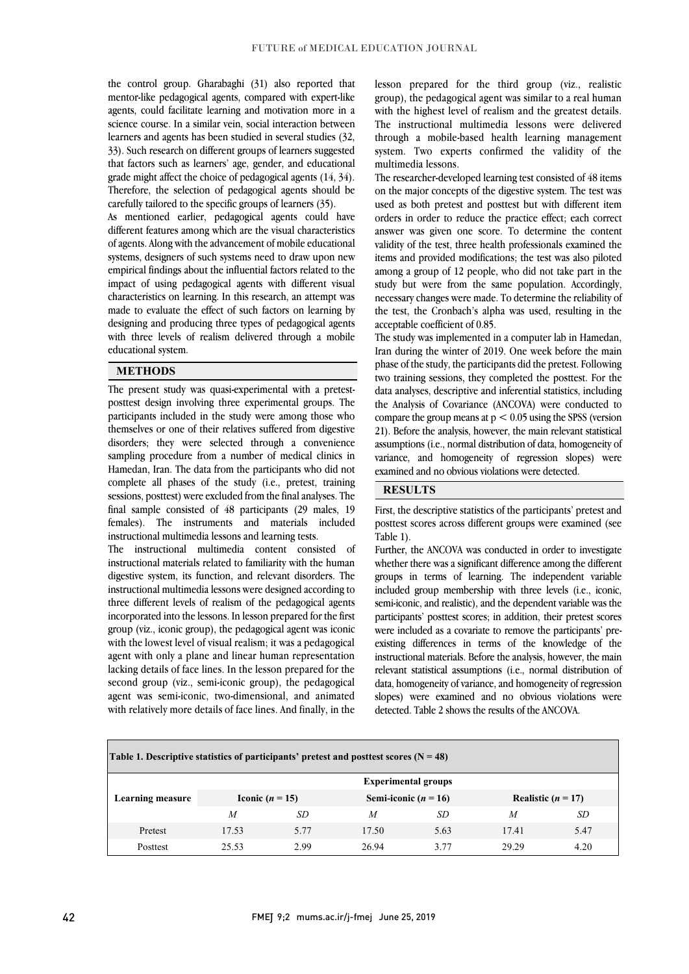mentor-like pedagogical agents, compared with expert-like agents, could facilitate learning and motivation more in a science course. In a similar vein, social interaction between learners and agents has been studied in several studies (32, that factors such as learners' age, gender, and educational grade might affect the choice of pedagogical agents (14, 34). Therefore, the selection of pedagogical agents should be carefully tailored to the specific groups of learners (35). the control group. Gharabaghi (31) also reported that 33). Such research on different groups of learners suggested

different features among which are the visual characteristics of agents. Along with the advancement of mobile educational systems, designers of such systems need to draw upon new empirical findings about the influential factors related to the characteristics on learning. In this research, an attempt was made to evaluate the effect of such factors on learning by designing and producing three types of pedagogical agents with three levels of realism delivered through a mobile l As mentioned earlier, pedagogical agents could have impact of using pedagogical agents with different visual educational system.

#### **METHODS**

 The present study was quasi-experimental with a pretest- posttest design involving three experimental groups. The themselves or one of their relatives suffered from digestive disorders; they were selected through a convenience sampling procedure from a number of medical clinics in Hamedan, Iran. The data from the participants who did not sessions, posttest) were excluded from the final analyses. The final sample consisted of 48 participants (29 males, 19 females). The instruments and materials included instructional multimedia lessons and learning tests. participants included in the study were among those who complete all phases of the study (i.e., pretest, training

 instructional materials related to familiarity with the human digestive system, its function, and relevant disorders. The instructional multimedia lessons were designed according to three different levels of realism of the pedagogical agents group (viz., iconic group), the pedagogical agent was iconic with the lowest level of visual realism; it was a pedagogical agent with only a plane and linear human representation lacking details of face lines. In the lesson prepared for the agent was semi-iconic, two-dimensional, and animated with relatively more details of face lines. And finally, in the The instructional multimedia content consisted of incorporated into the lessons. In lesson prepared for the first second group (viz., semi-iconic group), the pedagogical

 lesson prepared for the third group (viz., realistic with the highest level of realism and the greatest details. The instructional multimedia lessons were delivered through a mobile-based health learning management system. Two experts confirmed the validity of the group), the pedagogical agent was similar to a real human multimedia lessons.

 The researcher-developed learning test consisted of 48 items on the major concepts of the digestive system. The test was used as both pretest and posttest but with different item orders in order to reduce the practice effect; each correct validity of the test, three health professionals examined the items and provided modifications; the test was also piloted among a group of 12 people, who did not take part in the study but were from the same population. Accordingly, the test, the Cronbach's alpha was used, resulting in the answer was given one score. To determine the content necessary changes were made. To determine the reliability of acceptable coefficient of 0.85.

 The study was implemented in a computer lab in Hamedan, phase of the study, the participants did the pretest. Following two training sessions, they completed the posttest. For the data analyses, descriptive and inferential statistics, including the Analysis of Covariance (ANCOVA) were conducted to compare the group means at  $p < 0.05$  using the SPSS (version assumptions (i.e., normal distribution of data, homogeneity of variance, and homogeneity of regression slopes) were examined and no obvious violations were detected. Iran during the winter of 2019. One week before the main 21). Before the analysis, however, the main relevant statistical

#### **RESULTS**

 First, the descriptive statistics of the participants' pretest and posttest scores across different groups were examined (see Table 1).

whether there was a significant difference among the different groups in terms of learning. The independent variable included group membership with three levels (i.e., iconic, semi-iconic, and realistic), and the dependent variable was the were included as a covariate to remove the participants' pre- existing differences in terms of the knowledge of the instructional materials. Before the analysis, however, the main relevant statistical assumptions (i.e., normal distribution of slopes) were examined and no obvious violations were detected. Table 2 shows the results of the ANCOVA. Further, the ANCOVA was conducted in order to investigate participants' posttest scores; in addition, their pretest scores data, homogeneity of variance, and homogeneity of regression

j

| Table 1. Descriptive statistics of participants' pretest and posttest scores ( $N = 48$ ) |                            |      |                          |      |                      |      |  |  |  |  |
|-------------------------------------------------------------------------------------------|----------------------------|------|--------------------------|------|----------------------|------|--|--|--|--|
|                                                                                           | <b>Experimental groups</b> |      |                          |      |                      |      |  |  |  |  |
| <b>Learning measure</b>                                                                   | Iconic $(n = 15)$          |      | Semi-iconic ( $n = 16$ ) |      | Realistic $(n = 17)$ |      |  |  |  |  |
|                                                                                           | $\boldsymbol{M}$           | SD   | M                        | SD   | M                    | SD   |  |  |  |  |
| Pretest                                                                                   | 17.53                      | 5.77 | 17.50                    | 5.63 | 17.41                | 5.47 |  |  |  |  |
| Posttest                                                                                  | 25.53                      | 2.99 | 26.94                    | 3.77 | 29.29                | 4.20 |  |  |  |  |
|                                                                                           |                            |      |                          |      |                      |      |  |  |  |  |

j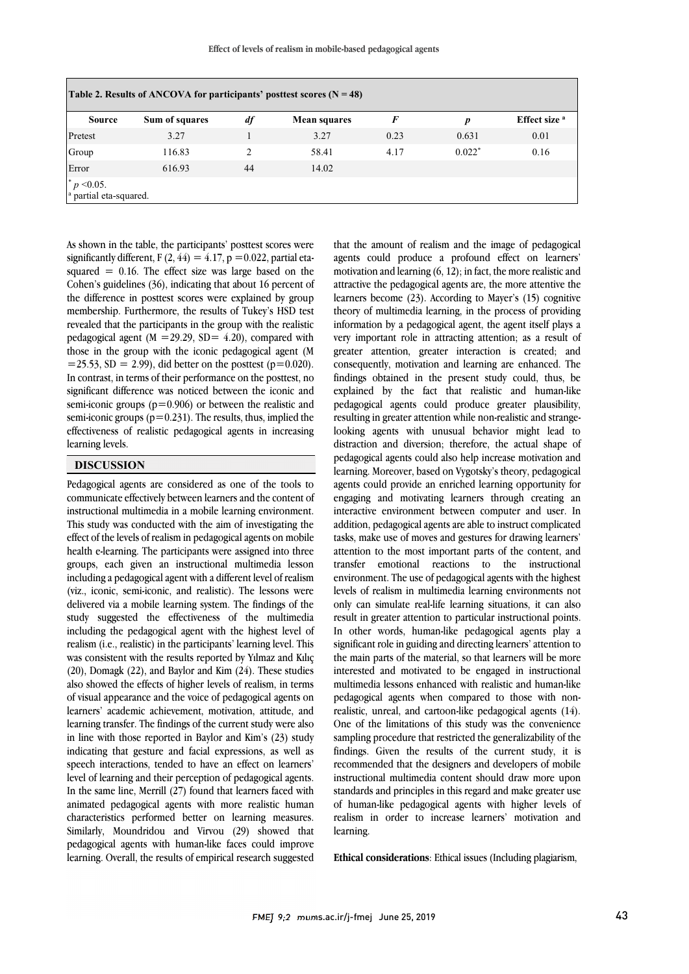l

|         |        | df                 | <b>Mean squares</b> | F    | p        | Effect size <sup>a</sup> |
|---------|--------|--------------------|---------------------|------|----------|--------------------------|
| Pretest | 3.27   |                    | 3.27                | 0.23 | 0.631    | 0.01                     |
| Group   | 116.83 | $\mathfrak{D}_{1}$ | 58.41               | 4.17 | $0.022*$ | 0.16                     |
| Error   | 616.93 | 44                 | 14.02               |      |          |                          |

As shown in the table, the participants' posttest scores were significantly different,  $F(2, 44) = 4.17$ ,  $p = 0.022$ , partial etasquared  $= 0.16$ . The effect size was large based on the Cohen's guidelines (36), indicating that about 16 percent of the difference in posttest scores were explained by group membership. Furthermore, the results of Tukey's HSD test revealed that the participants in the group with the realistic pedagogical agent ( $M = 29.29$ ,  $SD = 4.20$ ), compared with those in the group with the iconic pedagogical agent (M  $=$  25.53, SD  $=$  2.99), did better on the posttest (p=0.020). In contrast, in terms of their performance on the posttest, no significant difference was noticed between the iconic and semi-iconic groups ( $p=0.906$ ) or between the realistic and semi-iconic groups ( $p=0.231$ ). The results, thus, implied the effectiveness of realistic pedagogical agents in increasing learning levels.

## **DISCUSSION**

Pedagogical agents are considered as one of the tools to communicate effectively between learners and the content of instructional multimedia in a mobile learning environment. This study was conducted with the aim of investigating the effect of the levels of realism in pedagogical agents on mobile health e-learning. The participants were assigned into three groups, each given an instructional multimedia lesson including a pedagogical agent with a different level of realism (viz., iconic, semi-iconic, and realistic). The lessons were delivered via a mobile learning system. The findings of the study suggested the effectiveness of the multimedia including the pedagogical agent with the highest level of realism (i.e., realistic) in the participants' learning level. This was consistent with the results reported by Yılmaz and Kılıç (20), Domagk (22), and Baylor and Kim (24). These studies also showed the effects of higher levels of realism, in terms of visual appearance and the voice of pedagogical agents on learners' academic achievement, motivation, attitude, and learning transfer. The findings of the current study were also in line with those reported in Baylor and Kim's (23) study indicating that gesture and facial expressions, as well as speech interactions, tended to have an effect on learners' level of learning and their perception of pedagogical agents. In the same line, Merrill (27) found that learners faced with animated pedagogical agents with more realistic human characteristics performed better on learning measures. Similarly, Moundridou and Virvou (29) showed that pedagogical agents with human-like faces could improve learning. Overall, the results of empirical research suggested

 that the amount of realism and the image of pedagogical agents could produce a profound effect on learners' motivation and learning (6, 12); in fact, the more realistic and learners become (23). According to Mayer's (15) cognitive theory of multimedia learning, in the process of providing information by a pedagogical agent, the agent itself plays a very important role in attracting attention; as a result of consequently, motivation and learning are enhanced. The findings obtained in the present study could, thus, be explained by the fact that realistic and human-like pedagogical agents could produce greater plausibility, resulting in greater attention while non-realistic and strange- distraction and diversion; therefore, the actual shape of pedagogical agents could also help increase motivation and learning. Moreover, based on Vygotsky's theory, pedagogical agents could provide an emiched learning opportunity for<br>engaging and motivating learners through creating an interactive environment between computer and user. In addition, pedagogical agents are able to instruct complicated tasks, make use of moves and gestures for drawing learners' transfer emotional reactions to the instructional environment. The use of pedagogical agents with the highest levels of realism in multimedia learning environments not only can simulate real-life learning situations, it can also In other words, human-like pedagogical agents play a significant role in guiding and directing learners' attention to the main parts of the material, so that learners will be more interested and motivated to be engaged in instructional realistic, unreal, and cartoon-like pedagogical agents (14). One of the limitations of this study was the convenience sampling procedure that restricted the generalizability of the recommended that the designers and developers of mobile instructional multimedia content should draw more upon standards and principles in this regard and make greater use attractive the pedagogical agents are, the more attentive the greater attention, greater interaction is created; and looking agents with unusual behavior might lead to agents could provide an enriched learning opportunity for attention to the most important parts of the content, and result in greater attention to particular instructional points. multimedia lessons enhanced with realistic and human-like pedagogical agents when compared to those with nonfindings. Given the results of the current study, it is of human-like pedagogical agents with higher levels of realism in order to increase learners' motivation and learning.

**Ethical considerations**: Ethical issues (Including plagiarism,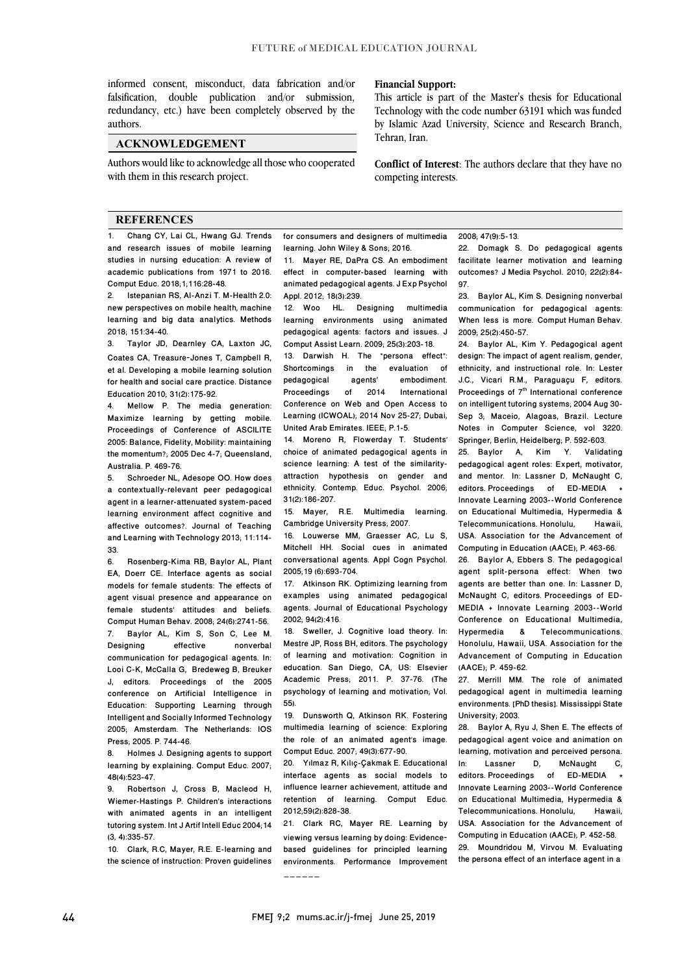falsification, double publication and/or submission, redundancy, etc.) have been completely observed by the informed consent, misconduct, data fabrication and/or authors.

### **ACKNOWLEDGEMENT**

 Authors would like to acknowledge all those who cooperated with them in this research project.

#### **REFERENCES**

1. Chang CY, Lai CL, Hwang GJ. Trends and research issues of mobile learning studies in nursing education: A review of academic publications from 1971 to 2016. Comput Educ. 2018;1;116:28-48.

2. Istepanian RS, Al-Anzi T. M-Health 2.0: new perspectives on mobile health, machine learning and big data analytics. Methods 2018; 151:34-40.

3. Taylor JD, Dearnley CA, Laxton JC, Coates CA, Treasure‐Jones T, Campbell R, et al. Developing a mobile learning solution for health and social care practice. Distance Education 2010; 31(2):175-92.

Mellow P. The media generation: Maximize learning by getting mobile. Proceedings of Conference of ASCILITE 2005: Balance, Fidelity, Mobility: maintaining the momentum?; 2005 Dec 4-7; Queensland, Australia. P. 469-76.

Schroeder NL, Adesope OO. How does a contextually-relevant peer pedagogical agent in a learner-attenuated system-paced learning environment affect cognitive and affective outcomes?. Journal of Teaching and Learning with Technology 2013; 11:114- 33.

6. Rosenberg-Kima RB, Baylor AL, Plant EA, Doerr CE. Interface agents as social models for female students: The effects of agent visual presence and appearance on female students' attitudes and beliefs. Comput Human Behav. 2008; 24(6):2741-56. 7. Baylor AL, Kim S, Son C, Lee M. Designing effective nonverbal communication for pedagogical agents. In: Looi C-K, McCalla G, Bredeweg B, Breuker J, editors. Proceedings of the 2005 conference on Artificial Intelligence in Education: Supporting Learning through Intelligent and Socially Informed Technology 2005; Amsterdam. The Netherlands: IOS Press; 2005. P. 744-46.

8. Holmes J. Designing agents to support learning by explaining. Comput Educ. 2007; 48(4):523-47.

9. Robertson J, Cross B, Macleod H, Wiemer-Hastings P. Children's interactions with animated agents in an intelligent tutoring system. Int J Artif Intell Educ 2004;14 (3, 4):335-57.

10. Clark, R.C, Mayer, R.E. E-learning and the science of instruction: Proven guidelines

#### **Financial Support:**

 This article is part of the Master's thesis for Educational Technology with the code number 63191 which was funded by Islamic Azad University, Science and Research Branch, Tehran, Iran.

 **Conflict of Interest**: The authors declare that they have no competing interests.

 for consumers and designers of multimedia learning. John Wiley & Sons; 2016.

l  $\overline{a}$ 

 11. Mayer RE, DaPra CS. An embodiment effect in computer-based learning with Appl. 2012; 18(3):239. animated pedagogical agents. J Exp Psychol

 12. Woo HL. Designing multimedia learning environments using animated Comput Assist Learn. 2009; 25(3):203-18. pedagogical agents: factors and issues. J

 13. Darwish H. The "persona effect": Shortcomings<br>nedagogical Proceedings Conference on Web and Open Access to United Arab Emirates. IEEE; P.1-5. in the evaluation of<br>agents' embodiment. agents' embodiment.<br>of 2014 International **International** Learning (ICWOAL); 2014 Nov 25-27; Dubai,

 14. Moreno R, Flowerday T. Students' science learning: A test of the similarity- attraction hypothesis on gender and ethnicity. Contemp. Educ. Psychol. 2006; choice of animated pedagogical agents in 31(2):186-207.

 15. Mayer, R.E. Multimedia learning. Cambridge University Press; 2007.

 16. Louwerse MM, Graesser AC, Lu S, conversational agents. Appl Cogn Psychol. 2005;19 (6):693-704. Mitchell HH. Social cues in animated

examples using animated pedagogical agents. Journal of Educational Psychology 2002; 94(2):416. 17. Atkinson RK. Optimizing learning from

 Mestre JP, Ross BH, editors. The psychology of learning and motivation: Cognition in Academic Press; 2011. P. 37-76. (The psychology of learning and motivation; Vol. 18. Sweller, J. Cognitive load theory. In: education. San Diego, CA, US: Elsevier 55).

ວວ).<br>19. Dunsworth Q, Atkinson RK. Fostering multimedia learning of science: Exploring the role of an animated agent's image. Comput Educ. 2007; 49(3):677-90.

 20. Yılmaz R, Kılıç-Çakmak E. Educational interface agents as social models to influence learner achievement, attitude and 2012;59(2):828-38. retention of learning. Comput Educ.

 21. Clark RC, Mayer RE. Learning by viewing versus learning by doing: Evidence‐ based guidelines for principled learning environments. Performance Improvement

2008; 47(9):5-13.

 22. Domagk S. Do pedagogical agents facilitate learner motivation and learning outcomes? J Media Psychol. 2010; 22(2):84- 97.

֦  $\overline{a}$ 

 23. Baylor AL, Kim S. Designing nonverbal communication for pedagogical agents: When less is more. Comput Human Behav. 2009; 25(2):450-57.

 24. Baylor AL, Kim Y. Pedagogical agent design: The impact of agent realism, gender, J.C., Vicari R.M., Paraguaçu F, editors. Proceedings of  $7<sup>th</sup>$  International conference on intelligent tutoring systems; 2004 Aug 30- Notes in Computer Science, vol 3220. Springer, Berlin, Heidelberg; P. 592-603. ethnicity, and instructional role. In: Lester Sep 3; Maceio, Alagoas, Brazil. Lecture

 pedagogical agent roles: Expert, motivator, and mentor. In: Lassner D, McNaught C, editors. Proceedings of ED-MEDIA + on Educational Multimedia, Hypermedia & Telecommunications. Honolulu, Hawaii, USA. Association for the Advancement of 25. Baylor A, Kim Y. Validating Innovate Learning 2003--World Conference Computing in Education (AACE); P. 463-66.

 26. Baylor A, Ebbers S. The pedagogical agent split-persona effect: When two McNaught C, editors. Proceedings of ED- MEDIA + Innovate Learning 2003--World Conference on Educational Multimedia, Honolulu, Hawaii, USA. Association for the Advancement of Computing in Education agents are better than one. In: Lassner D, Hypermedia & Telecommunications. (AACE); P. 459-62.

 27. Merrill MM. The role of animated pedagogical agent in multimedia learning environments. [PhD thesis]. Mississippi State University; 2003.

 28. Baylor A, Ryu J, Shen E. The effects of pedagogical agent voice and animation on In: Lassner D, McNaught C, editors. Proceedings of ED-MEDIA + Innovate Learning 2003--World Conference Telecommunications. Honolulu, Hawaii, USA. Association for the Advancement of 29. Moundridou M, Virvou M. Evaluating the persona effect of an interface agent in a learning, motivation and perceived persona.<br>In: Lassner D. McNaught C. on Educational Multimedia, Hypermedia & Computing in Education (AACE); P. 452-58.